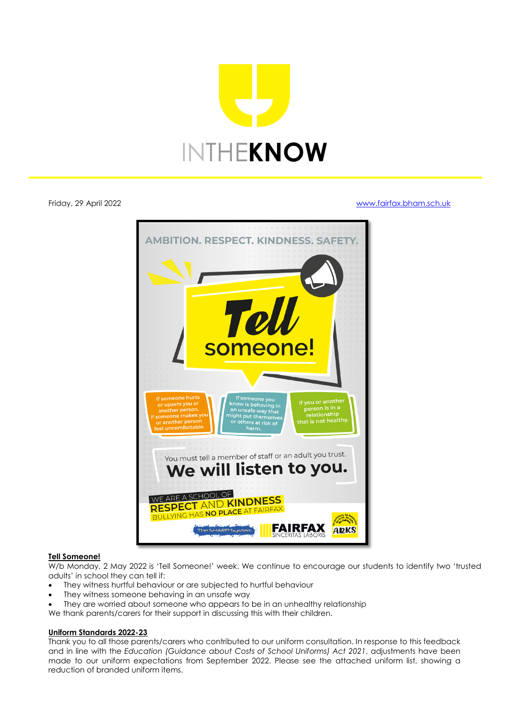

Friday, 29 April 2022 [www.fairfax.bham.sch.uk](http://www.fairfax.bham.sch.uk/)



# **Tell Someone!**

W/b Monday, 2 May 2022 is 'Tell Someone!' week. We continue to encourage our students to identify two 'trusted adults' in school they can tell if:

- They witness hurtful behaviour or are subjected to hurtful behaviour
- They witness someone behaving in an unsafe way
- They are worried about someone who appears to be in an unhealthy relationship

We thank parents/carers for their support in discussing this with their children.

# **Uniform Standards 2022-23**

Thank you to all those parents/carers who contributed to our uniform consultation. In response to this feedback and in line with the *Education (Guidance about Costs of School Uniforms) Act 2021*, adjustments have been made to our uniform expectations from September 2022. Please see the attached uniform list, showing a reduction of branded uniform items.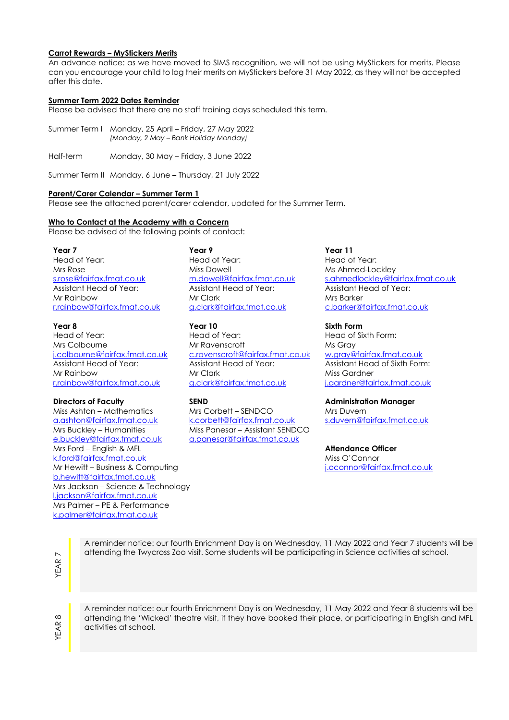# **Carrot Rewards – MyStickers Merits**

An advance notice: as we have moved to SIMS recognition, we will not be using MyStickers for merits. Please can you encourage your child to log their merits on MyStickers before 31 May 2022, as they will not be accepted after this date.

## **Summer Term 2022 Dates Reminder**

Please be advised that there are no staff training days scheduled this term.

- Summer Term I Monday, 25 April Friday, 27 May 2022 *(Monday, 2 May – Bank Holiday Monday)*
- Half-term Monday, 30 May Friday, 3 June 2022

Summer Term II Monday, 6 June – Thursday, 21 July 2022

### **Parent/Carer Calendar – Summer Term 1**

Please see the attached parent/carer calendar, updated for the Summer Term.

## **Who to Contact at the Academy with a Concern**

Please be advised of the following points of contact:

**Year 7** 

Head of Year: Mrs Rose [s.rose@fairfax.fmat.co.uk](mailto:s.rose@fairfax.fmat.co.uk) Assistant Head of Year: Mr Rainbow [r.rainbow@fairfax.fmat.co.uk](mailto:r.rainbow@fairfax.fmat.co.uk)

**Year 8** Head of Year: Mrs Colbourne [j.colbourne@fairfax.fmat.co.uk](mailto:j.colbourne@fairfax.fmat.co.uk)  Assistant Head of Year: Mr Rainbow [r.rainbow@fairfax.fmat.co.uk](mailto:r.rainbow@fairfax.fmat.co.uk)

Miss Ashton – Mathematics [a.ashton@fairfax.fmat.co.uk](mailto:a.ashton@fairfax.fmat.co.uk) Mrs Buckley – Humanities [e.buckley@fairfax.fmat.co.uk](mailto:e.buckley@fairfax.fmat.co.uk) Mrs Ford – English & MFL [k.ford@fairfax.fmat.co.uk](mailto:k.ford@fairfax.fmat.co.uk) Mr Hewitt – Business & Computing [b.hewitt@fairfax.fmat.co.uk](mailto:b.hewitt@fairfax.fmat.co.uk) Mrs Jackson – Science & Technology [l.jackson@fairfax.fmat.co.uk](mailto:l.jackson@fairfax.fmat.co.uk) Mrs Palmer – PE & Performance [k.palmer@fairfax.fmat.co.uk](mailto:k.palmer@fairfax.fmat.co.uk)

**Year 9**  Head of Year: Miss Dowell [m.dowell@fairfax.fmat.co.uk](mailto:m.dowell@fairfax.fmat.co.uk) Assistant Head of Year:

Mr Clark [g.clark@fairfax.fmat.co.uk](mailto:g.clark@fairfax.fmat.co.uk)

**Year 10** Head of Year: Mr Ravenscroft [c.ravenscroft@fairfax.fmat.co.uk](mailto:c.ravenscroft@fairfax.fmat.co.uk)  Assistant Head of Year: Mr Clark [g.clark@fairfax.fmat.co.uk](mailto:g.clark@fairfax.fmat.co.uk)

Mrs Corbett – SENDCO [k.corbett@fairfax.fmat.co.uk](mailto:k.corbett@fairfax.fmat.co.uk) Miss Panesar – Assistant SENDCO [a.panesar@fairfax.fmat.co.uk](mailto:a.panesar@fairfax.fmat.co.uk)

# **Year 11**

Head of Year: Ms Ahmed-Lockley [s.ahmedlockley@fairfax.fmat.co.uk](mailto:s.ahmedlockley@fairfax.fmat.co.uk)  Assistant Head of Year: Mrs Barker [c.barker@fairfax.fmat.co.uk](mailto:c.barker@fairfax.fmat.co.uk)

**Sixth Form** 

Head of Sixth Form: Ms Gray [w.gray@fairfax.fmat.co.uk](mailto:w.gray@fairfax.fmat.co.uk)  Assistant Head of Sixth Form: Miss Gardner [j.gardner@fairfax.fmat.co.uk](mailto:j.gardner@fairfax.fmat.co.uk)

## **Directors of Faculty SEND Administration Manager**

Mrs Duvern [s.duvern@fairfax.fmat.co.uk](mailto:s.duvern@fairfax.fmat.co.uk)

**Attendance Officer** Miss O'Connor [j.oconnor@fairfax.fmat.co.uk](mailto:j.oconnor@fairfax.fmat.co.uk)

YEAR

A reminder notice: our fourth Enrichment Day is on Wednesday, 11 May 2022 and Year 7 students will be attending the Twycross Zoo visit. Some students will be participating in Science activities at school.

YEAR 8

A reminder notice: our fourth Enrichment Day is on Wednesday, 11 May 2022 and Year 8 students will be attending the 'Wicked' theatre visit, if they have booked their place, or participating in English and MFL activities at school.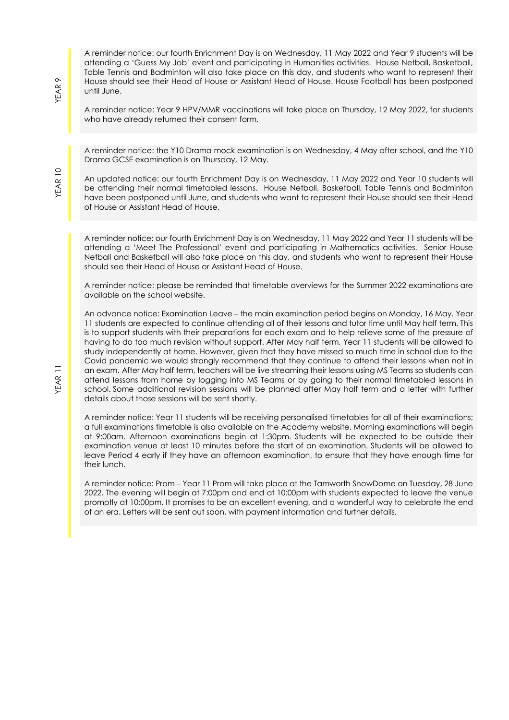A reminder notice: our fourth Enrichment Day is on Wednesday, 11 May 2022 and Year 9 students will be attending a 'Guess My Job' event and participating in Humanities activities. House Netball, Basketball, Table Tennis and Badminton will also take place on this day, and students who want to represent their House should see their Head of House or Assistant Head of House. House Football has been postponed until June.

A reminder notice: Year 9 HPV/MMR vaccinations will take place on Thursday, 12 May 2022, for students who have already returned their consent form.

A reminder notice: the Y10 Drama mock examination is on Wednesday, 4 May after school, and the Y10 Drama GCSE examination is on Thursday, 12 May.

An updated notice: our fourth Enrichment Day is on Wednesday, 11 May 2022 and Year 10 students will be attending their normal timetabled lessons. House Netball, Basketball, Table Tennis and Badminton have been postponed until June, and students who want to represent their House should see their Head of House or Assistant Head of House.

A reminder notice: our fourth Enrichment Day is on Wednesday, 11 May 2022 and Year 11 students will be attending a 'Meet The Professional' event and participating in Mathematics activities. Senior House Netball and Basketball will also take place on this day, and students who want to represent their House should see their Head of House or Assistant Head of House.

A reminder notice: please be reminded that timetable overviews for the Summer 2022 examinations are available on the school website.

An advance notice: Examination Leave – the main examination period begins on Monday, 16 May. Year 11 students are expected to continue attending all of their lessons and tutor time until May half term. This is to support students with their preparations for each exam and to help relieve some of the pressure of having to do too much revision without support. After May half term, Year 11 students will be allowed to study independently at home. However, given that they have missed so much time in school due to the Covid pandemic we would strongly recommend that they continue to attend their lessons when not in an exam. After May half term, teachers will be live streaming their lessons using MS Teams so students can attend lessons from home by logging into MS Teams or by going to their normal timetabled lessons in school. Some additional revision sessions will be planned after May half term and a letter with further details about those sessions will be sent shortly.

A reminder notice: Year 11 students will be receiving personalised timetables for all of their examinations; a full examinations timetable is also available on the Academy website. Morning examinations will begin at 9:00am. Afternoon examinations begin at 1:30pm. Students will be expected to be outside their examination venue at least 10 minutes before the start of an examination. Students will be allowed to leave Period 4 early if they have an afternoon examination, to ensure that they have enough time for their lunch.

A reminder notice: Prom – Year 11 Prom will take place at the Tamworth SnowDome on Tuesday, 28 June 2022. The evening will begin at 7:00pm and end at 10:00pm with students expected to leave the venue promptly at 10:00pm. It promises to be an excellent evening, and a wonderful way to celebrate the end of an era. Letters will be sent out soon, with payment information and further details.